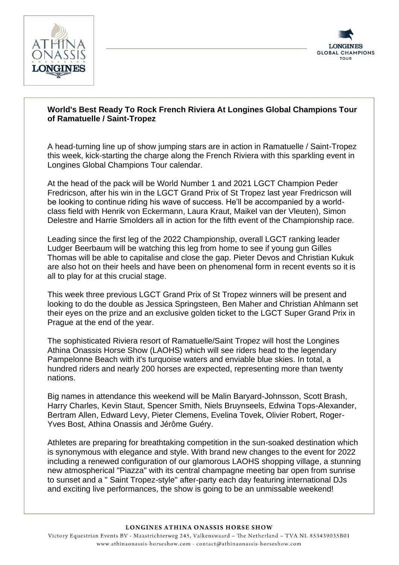



## **World's Best Ready To Rock French Riviera At Longines Global Champions Tour of Ramatuelle / Saint-Tropez**

A head-turning line up of show jumping stars are in action in Ramatuelle / Saint-Tropez this week, kick-starting the charge along the French Riviera with this sparkling event in Longines Global Champions Tour calendar.

At the head of the pack will be World Number 1 and 2021 LGCT Champion Peder Fredricson, after his win in the LGCT Grand Prix of St Tropez last year Fredricson will be looking to continue riding his wave of success. He'll be accompanied by a worldclass field with Henrik von Eckermann, Laura Kraut, Maikel van der Vleuten), Simon Delestre and Harrie Smolders all in action for the fifth event of the Championship race.

Leading since the first leg of the 2022 Championship, overall LGCT ranking leader Ludger Beerbaum will be watching this leg from home to see if young gun Gilles Thomas will be able to capitalise and close the gap. Pieter Devos and Christian Kukuk are also hot on their heels and have been on phenomenal form in recent events so it is all to play for at this crucial stage.

This week three previous LGCT Grand Prix of St Tropez winners will be present and looking to do the double as Jessica Springsteen, Ben Maher and Christian Ahlmann set their eyes on the prize and an exclusive golden ticket to the LGCT Super Grand Prix in Prague at the end of the year.

The sophisticated Riviera resort of Ramatuelle/Saint Tropez will host the Longines Athina Onassis Horse Show (LAOHS) which will see riders head to the legendary Pampelonne Beach with it's turquoise waters and enviable blue skies. In total, a hundred riders and nearly 200 horses are expected, representing more than twenty nations.

Big names in attendance this weekend will be Malin Baryard-Johnsson, Scott Brash, Harry Charles, Kevin Staut, Spencer Smith, Niels Bruynseels, Edwina Tops-Alexander, Bertram Allen, Edward Levy, Pieter Clemens, Evelina Tovek, Olivier Robert, Roger-Yves Bost, Athina Onassis and Jérôme Guéry.

Athletes are preparing for breathtaking competition in the sun-soaked destination which is synonymous with elegance and style. With brand new changes to the event for 2022 including a renewed configuration of our glamorous LAOHS shopping village, a stunning new atmospherical "Piazza" with its central champagne meeting bar open from sunrise to sunset and a " Saint Tropez-style" after-party each day featuring international DJs and exciting live performances, the show is going to be an unmissable weekend!